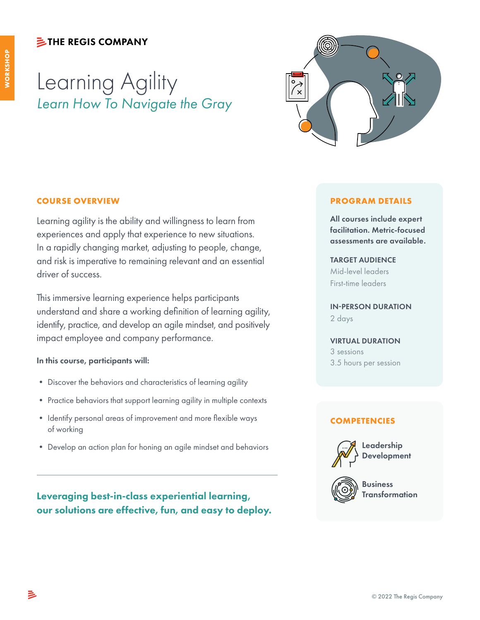### **シTHE REGIS COMPANY**

# Learning Agility *Learn How To Navigate the Gray*



### **COURSE OVERVIEW**

Learning agility is the ability and willingness to learn from experiences and apply that experience to new situations. In a rapidly changing market, adjusting to people, change, and risk is imperative to remaining relevant and an essential driver of success.

This immersive learning experience helps participants understand and share a working definition of learning agility, identify, practice, and develop an agile mindset, and positively impact employee and company performance.

### In this course, participants will:

- Discover the behaviors and characteristics of learning agility
- Practice behaviors that support learning agility in multiple contexts
- Identify personal areas of improvement and more flexible ways of working
- Develop an action plan for honing an agile mindset and behaviors

Leveraging best-in-class experiential learning, Transformation our solutions are effective, fun, and easy to deploy.

### **PROGRAM DETAILS**

All courses include expert facilitation. Metric-focused assessments are available.

### TARGET AUDIENCE

Mid-level leaders First-time leaders

IN-PERSON DURATION 2 days

### VIRTUAL DURATION

3 sessions 3.5 hours per session

### **COMPETENCIES**